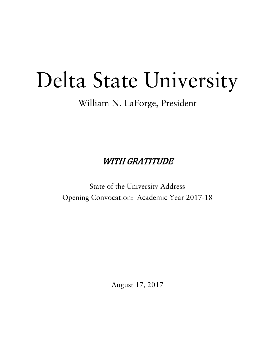# Delta State University

## William N. LaForge, President

WITH GRATITUDE

State of the University Address Opening Convocation: Academic Year 2017-18

August 17, 2017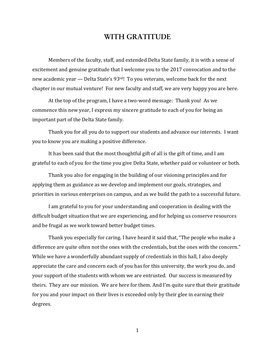### **WITH GRATITUDE**

Members of the faculty, staff, and extended Delta State family, it is with a sense of excitement and genuine gratitude that I welcome you to the 2017 convocation and to the new academic year — Delta State's 93<sup>rd</sup>! To you veterans, welcome back for the next chapter in our mutual venture! For new faculty and staff, we are very happy you are here.

At the top of the program, I have a two-word message: Thank you! As we commence this new year, I express my sincere gratitude to each of you for being an important part of the Delta State family.

Thank you for all you do to support our students and advance our interests. I want you to know you are making a positive difference.

It has been said that the most thoughtful gift of all is the gift of time, and I am grateful to each of you for the time you give Delta State, whether paid or volunteer or both.

Thank you also for engaging in the building of our visioning principles and for applying them as guidance as we develop and implement our goals, strategies, and priorities in various enterprises on campus, and as we build the path to a successful future.

I am grateful to you for your understanding and cooperation in dealing with the difficult budget situation that we are experiencing, and for helping us conserve resources and be frugal as we work toward better budget times.

Thank you especially for caring. I have heard it said that, "The people who make a difference are quite often not the ones with the credentials, but the ones with the concern." While we have a wonderfully abundant supply of credentials in this hall, I also deeply appreciate the care and concern each of you has for this university, the work you do, and your support of the students with whom we are entrusted. Our success is measured by theirs. They are our mission. We are here for them. And I'm quite sure that their gratitude for you and your impact on their lives is exceeded only by their glee in earning their degrees.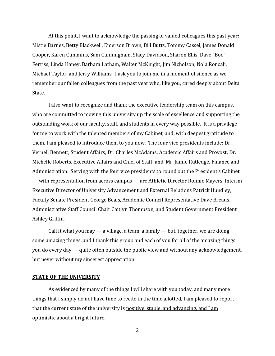At this point, I want to acknowledge the passing of valued colleagues this past year: Mistie Barnes, Betty Blackwell, Emerson Brown, Bill Butts, Tommy Cassel, James Donald Cooper, Karen Cummins, Sam Cunningham, Stacy Davidson, Sharon Ellis, Dave "Boo" Ferriss, Linda Haney, Barbara Latham, Walter McKnight, Jim Nicholson, Nola Roncali, Michael Taylor, and Jerry Williams. I ask you to join me in a moment of silence as we remember our fallen colleagues from the past year who, like you, cared deeply about Delta State. 

I also want to recognize and thank the executive leadership team on this campus, who are committed to moving this university up the scale of excellence and supporting the outstanding work of our faculty, staff, and students in every way possible. It is a privilege for me to work with the talented members of my Cabinet, and, with deepest gratitude to them, I am pleased to introduce them to you now. The four vice presidents include: Dr. Vernell Bennett, Student Affairs; Dr. Charles McAdams, Academic Affairs and Provost; Dr. Michelle Roberts, Executive Affairs and Chief of Staff; and, Mr. Jamie Rutledge, Finance and Administration. Serving with the four vice presidents to round out the President's Cabinet — with representation from across campus — are Athletic Director Ronnie Mayers, Interim Executive Director of University Advancement and External Relations Patrick Hundley, Faculty Senate President George Beals, Academic Council Representative Dave Breaux, Administrative Staff Council Chair Caitlyn Thompson, and Student Government President Ashley Griffin. 

Call it what you may  $-$  a village, a team, a family  $-$  but, together, we are doing some amazing things, and I thank this group and each of you for all of the amazing things you do every  $day -$  quite often outside the public view and without any acknowledgement, but never without my sincerest appreciation.

#### **STATE OF THE UNIVERSITY**

As evidenced by many of the things I will share with you today, and many more things that I simply do not have time to recite in the time allotted, I am pleased to report that the current state of the university is positive, stable, and advancing, and I am optimistic about a bright future.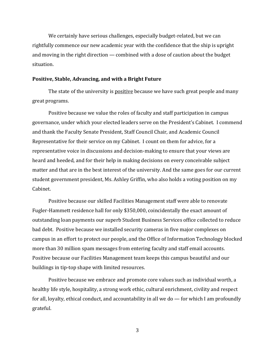We certainly have serious challenges, especially budget-related, but we can rightfully commence our new academic year with the confidence that the ship is upright and moving in the right direction — combined with a dose of caution about the budget situation. 

#### **Positive, Stable, Advancing, and with a Bright Future**

The state of the university is positive because we have such great people and many great programs.

Positive because we value the roles of faculty and staff participation in campus governance, under which your elected leaders serve on the President's Cabinet. I commend and thank the Faculty Senate President, Staff Council Chair, and Academic Council Representative for their service on my Cabinet. I count on them for advice, for a representative voice in discussions and decision-making to ensure that your views are heard and heeded, and for their help in making decisions on every conceivable subject matter and that are in the best interest of the university. And the same goes for our current student government president, Ms. Ashley Griffin, who also holds a voting position on my Cabinet. 

Positive because our skilled Facilities Management staff were able to renovate Fugler-Hammett residence hall for only \$350,000, coincidentally the exact amount of outstanding loan payments our superb Student Business Services office collected to reduce bad debt. Positive because we installed security cameras in five major complexes on campus in an effort to protect our people, and the Office of Information Technology blocked more than 30 million spam messages from entering faculty and staff email accounts. Positive because our Facilities Management team keeps this campus beautiful and our buildings in tip-top shape with limited resources.

Positive because we embrace and promote core values such as individual worth, a healthy life style, hospitality, a strong work ethic, cultural enrichment, civility and respect for all, loyalty, ethical conduct, and accountability in all we do  $-$  for which I am profoundly grateful.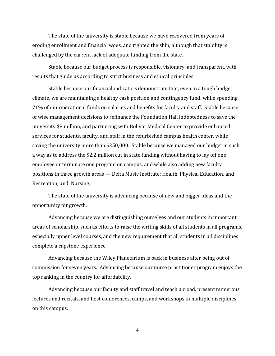The state of the university is stable because we have recovered from years of eroding enrollment and financial woes, and righted the ship, although that stability is challenged by the current lack of adequate funding from the state.

Stable because our budget process is responsible, visionary, and transparent, with results that guide us according to strict business and ethical principles.

Stable because our financial indicators demonstrate that, even in a tough budget climate, we are maintaining a healthy cash position and contingency fund, while spending 71% of our operational funds on salaries and benefits for faculty and staff. Stable because of wise management decisions to refinance the Foundation Hall indebtedness to save the university \$8 million, and partnering with Bolivar Medical Center to provide enhanced services for students, faculty, and staff in the refurbished campus health center, while saving the university more than \$250,000. Stable because we managed our budget in such a way as to address the \$2.2 million cut in state funding without having to lay off one employee or terminate one program on campus, and while also adding new faculty positions in three growth areas — Delta Music Institute; Health, Physical Education, and Recreation; and, Nursing.

The state of the university is advancing because of new and bigger ideas and the opportunity for growth.

Advancing because we are distinguishing ourselves and our students in important areas of scholarship, such as efforts to raise the writing skills of all students in all programs, especially upper level courses, and the new requirement that all students in all disciplines complete a capstone experience.

Advancing because the Wiley Planetarium is back in business after being out of commission for seven years. Advancing because our nurse practitioner program enjoys the top ranking in the country for affordability.

Advancing because our faculty and staff travel and teach abroad, present numerous lectures and recitals, and host conferences, camps, and workshops in multiple disciplines on this campus.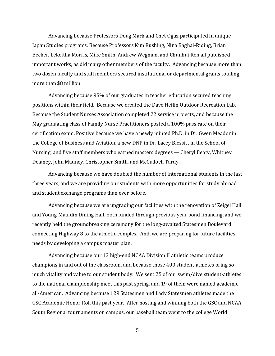Advancing because Professors Doug Mark and Chet Oguz participated in unique Japan Studies programs. Because Professors Kim Rushing, Nina Baghai-Riding, Brian Becker, Lekeitha Morris, Mike Smith, Andrew Wegman, and Chunhui Ren all published important works, as did many other members of the faculty. Advancing because more than two dozen faculty and staff members secured institutional or departmental grants totaling more than \$8 million.

Advancing because 95% of our graduates in teacher education secured teaching positions within their field. Because we created the Dave Heflin Outdoor Recreation Lab. Because the Student Nurses Association completed 22 service projects, and because the May graduating class of Family Nurse Practitioners posted a 100% pass rate on their certification exam. Positive because we have a newly minted Ph.D. in Dr. Gwen Meador in the College of Business and Aviation, a new DNP in Dr. Lacey Blessitt in the School of Nursing, and five staff members who earned masters degrees — Cheryl Beaty, Whitney Delaney, John Mauney, Christopher Smith, and McCulloch Tardy.

Advancing because we have doubled the number of international students in the last three years, and we are providing our students with more opportunities for study abroad and student exchange programs than ever before.

Advancing because we are upgrading our facilities with the renovation of Zeigel Hall and Young-Mauldin Dining Hall, both funded through previous year bond financing, and we recently held the groundbreaking ceremony for the long-awaited Statesmen Boulevard connecting Highway 8 to the athletic complex. And, we are preparing for future facilities needs by developing a campus master plan.

Advancing because our 13 high-end NCAA Division II athletic teams produce champions in and out of the classroom, and because those 400 student-athletes bring so much vitality and value to our student body. We sent 25 of our swim/dive student-athletes to the national championship meet this past spring, and 19 of them were named academic all-American. Advancing because 129 Statesmen and Lady Statesmen athletes made the GSC Academic Honor Roll this past year. After hosting and winning both the GSC and NCAA South Regional tournaments on campus, our baseball team went to the college World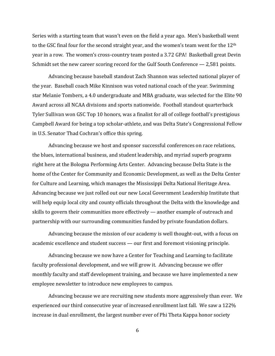Series with a starting team that wasn't even on the field a year ago. Men's basketball went to the GSC final four for the second straight year, and the women's team went for the  $12<sup>th</sup>$ year in a row. The women's cross-country team posted a 3.72 GPA! Basketball great Devin Schmidt set the new career scoring record for the Gulf South Conference  $-2,581$  points.

Advancing because baseball standout Zach Shannon was selected national player of the year. Baseball coach Mike Kinnison was voted national coach of the year. Swimming star Melanie Tombers, a 4.0 undergraduate and MBA graduate, was selected for the Elite 90 Award across all NCAA divisions and sports nationwide. Football standout quarterback Tyler Sullivan won GSC Top 10 honors, was a finalist for all of college football's prestigious Campbell Award for being a top scholar-athlete, and was Delta State's Congressional Fellow in U.S. Senator Thad Cochran's office this spring.

Advancing because we host and sponsor successful conferences on race relations, the blues, international business, and student leadership, and myriad superb programs right here at the Bologna Performing Arts Center. Advancing because Delta State is the home of the Center for Community and Economic Development, as well as the Delta Center for Culture and Learning, which manages the Mississippi Delta National Heritage Area. Advancing because we just rolled out our new Local Government Leadership Institute that will help equip local city and county officials throughout the Delta with the knowledge and skills to govern their communities more effectively  $-$  another example of outreach and partnership with our surrounding communities funded by private foundation dollars.

Advancing because the mission of our academy is well thought-out, with a focus on academic excellence and student success — our first and foremost visioning principle.

Advancing because we now have a Center for Teaching and Learning to facilitate faculty professional development, and we will grow it. Advancing because we offer monthly faculty and staff development training, and because we have implemented a new employee newsletter to introduce new employees to campus.

Advancing because we are recruiting new students more aggressively than ever. We experienced our third consecutive year of increased enrollment last fall. We saw a 122% increase in dual enrollment, the largest number ever of Phi Theta Kappa honor society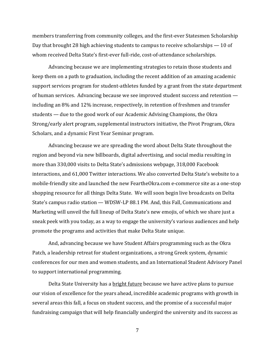members transferring from community colleges, and the first-ever Statesmen Scholarship Day that brought 28 high achieving students to campus to receive scholarships  $-10$  of whom received Delta State's first-ever full-ride, cost-of-attendance scholarships.

Advancing because we are implementing strategies to retain those students and keep them on a path to graduation, including the recent addition of an amazing academic support services program for student-athletes funded by a grant from the state department of human services. Advancing because we see improved student success and retention including an 8% and 12% increase, respectively, in retention of freshmen and transfer students — due to the good work of our Academic Advising Champions, the Okra Strong/early alert program, supplemental instructors initiative, the Pivot Program, Okra Scholars, and a dynamic First Year Seminar program.

Advancing because we are spreading the word about Delta State throughout the region and beyond via new billboards, digital advertising, and social media resulting in more than 330,000 visits to Delta State's admissions webpage, 318,000 Facebook interactions, and 61,000 Twitter interactions. We also converted Delta State's website to a mobile-friendly site and launched the new FeartheOkra.com e-commerce site as a one-stop shopping resource for all things Delta State. We will soon begin live broadcasts on Delta State's campus radio station — WDSW-LP 88.1 FM. And, this Fall, Communications and Marketing will unveil the full lineup of Delta State's new emojis, of which we share just a sneak peek with you today, as a way to engage the university's various audiences and help promote the programs and activities that make Delta State unique.

And, advancing because we have Student Affairs programming such as the Okra Patch, a leadership retreat for student organizations, a strong Greek system, dynamic conferences for our men and women students, and an International Student Advisory Panel to support international programming.

Delta State University has a <u>bright future</u> because we have active plans to pursue our vision of excellence for the years ahead, incredible academic programs with growth in several areas this fall, a focus on student success, and the promise of a successful major fundraising campaign that will help financially undergird the university and its success as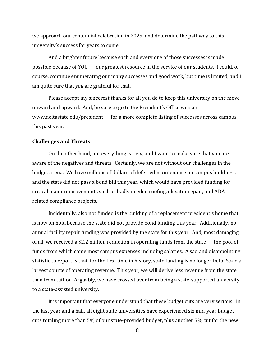we approach our centennial celebration in 2025, and determine the pathway to this university's success for years to come.

And a brighter future because each and every one of those successes is made possible because of  $\text{YOU}$  — our greatest resource in the service of our students. I could, of course, continue enumerating our many successes and good work, but time is limited, and I am quite sure that *you* are grateful for that.

Please accept my sincerest thanks for all you do to keep this university on the move onward and upward. And, be sure to go to the President's Office website  $$ www.deltastate.edu/president  $-$  for a more complete listing of successes across campus this past year.

#### **Challenges and Threats**

On the other hand, not everything is rosy, and I want to make sure that you are aware of the negatives and threats. Certainly, we are not without our challenges in the budget arena. We have millions of dollars of deferred maintenance on campus buildings, and the state did not pass a bond bill this year, which would have provided funding for critical major improvements such as badly needed roofing, elevator repair, and ADArelated compliance projects.

Incidentally, also not funded is the building of a replacement president's home that is now on hold because the state did not provide bond funding this year. Additionally, no annual facility repair funding was provided by the state for this year. And, most damaging of all, we received a \$2.2 million reduction in operating funds from the state — the pool of funds from which come most campus expenses including salaries. A sad and disappointing statistic to report is that, for the first time in history, state funding is no longer Delta State's largest source of operating revenue. This year, we will derive less revenue from the state than from tuition. Arguably, we have crossed over from being a state-supported university to a state-assisted university.

It is important that everyone understand that these budget cuts are very serious. In the last year and a half, all eight state universities have experienced six mid-year budget cuts totaling more than 5% of our state-provided budget, plus another 5% cut for the new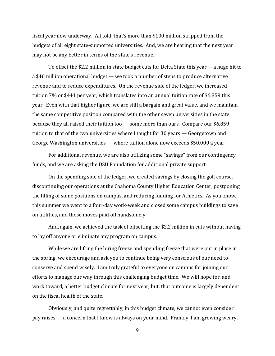fiscal year now underway. All told, that's more than \$100 million stripped from the budgets of all eight state-supported universities. And, we are hearing that the next year may not be any better in terms of the state's revenue.

To offset the \$2.2 million in state budget cuts for Delta State this year  $-$ a huge hit to a \$46 million operational budget — we took a number of steps to produce alternative revenue and to reduce expenditures. On the revenue side of the ledger, we increased tuition 7% or \$441 per year, which translates into an annual tuition rate of \$6,859 this year. Even with that higher figure, we are still a bargain and great value, and we maintain the same competitive position compared with the other seven universities in the state because they all raised their tuition too — some more than ours. Compare our  $$6,859$ tuition to that of the two universities where I taught for 30 years - Georgetown and George Washington universities — where tuition alone now exceeds  $$50,000$  a year!

For additional revenue, we are also utilizing some "savings" from our contingency funds, and we are asking the DSU Foundation for additional private support.

On the spending side of the ledger, we created savings by closing the golf course, discontinuing our operations at the Coahoma County Higher Education Center, postponing the filling of some positions on campus, and reducing funding for Athletics. As you know, this summer we went to a four-day work-week and closed some campus buildings to save on utilities, and those moves paid off handsomely.

And, again, we achieved the task of offsetting the \$2.2 million in cuts without having to lay off anyone or eliminate any program on campus.

While we are lifting the hiring freeze and spending freeze that were put in place in the spring, we encourage and ask you to continue being very conscious of our need to conserve and spend wisely. I am truly grateful to everyone on campus for joining our efforts to manage our way through this challenging budget time. We will hope for, and work toward, a better budget climate for next year; but, that outcome is largely dependent on the fiscal health of the state.

Obviously, and quite regrettably, in this budget climate, we cannot even consider pay raises — a concern that I know is always on your mind. Frankly, I am growing weary,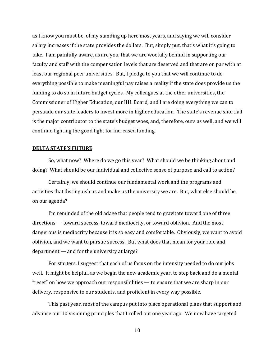as I know you must be, of my standing up here most years, and saying we will consider salary increases if the state provides the dollars. But, simply put, that's what it's going to take. I am painfully aware, as are you, that we are woefully behind in supporting our faculty and staff with the compensation levels that are deserved and that are on par with at least our regional peer universities. But, I pledge to you that we will continue to do everything possible to make meaningful pay raises a reality if the state does provide us the funding to do so in future budget cycles. My colleagues at the other universities, the Commissioner of Higher Education, our IHL Board, and I are doing everything we can to persuade our state leaders to invest more in higher education. The state's revenue shortfall is the major contributor to the state's budget woes, and, therefore, ours as well, and we will continue fighting the good fight for increased funding.

#### **DELTA STATE'S FUTURE**

So, what now? Where do we go this year? What should we be thinking about and doing? What should be our individual and collective sense of purpose and call to action?

Certainly, we should continue our fundamental work and the programs and activities that distinguish us and make us the university we are. But, what else should be on our agenda?

I'm reminded of the old adage that people tend to gravitate toward one of three  $directions$  — toward success, toward mediocrity, or toward oblivion. And the most dangerous is mediocrity because it is so easy and comfortable. Obviously, we want to avoid oblivion, and we want to pursue success. But what does that mean for your role and department  $-$  and for the university at large?

For starters, I suggest that each of us focus on the intensity needed to do our jobs well. It might be helpful, as we begin the new academic year, to step back and do a mental " $reset$ " on how we approach our responsibilities  $-$  to ensure that we are sharp in our delivery, responsive to our students, and proficient in every way possible.

This past year, most of the campus put into place operational plans that support and advance our 10 visioning principles that I rolled out one year ago. We now have targeted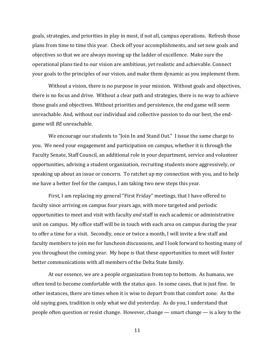goals, strategies, and priorities in play in most, if not all, campus operations. Refresh those plans from time to time this year. Check off your accomplishments, and set new goals and objectives so that we are always moving up the ladder of excellence. Make sure the operational plans tied to our vision are ambitious, yet realistic and achievable. Connect your goals to the principles of our vision, and make them dynamic as you implement them.

Without a vision, there is no purpose in your mission. Without goals and objectives, there is no focus and drive. Without a clear path and strategies, there is no way to achieve those goals and objectives. Without priorities and persistence, the end game will seem unreachable. And, without our individual and collective passion to do our best, the endgame will *BE* unreachable.

We encourage our students to "Join In and Stand Out." I issue the same charge to you. We need your engagement and participation on campus, whether it is through the Faculty Senate, Staff Council, an additional role in your department, service and volunteer opportunities, advising a student organization, recruiting students more aggressively, or speaking up about an issue or concern. To ratchet up my connection with you, and to help me have a better feel for the campus, I am taking two new steps this year.

First, I am replacing my general "First Friday" meetings, that I have offered to faculty since arriving on campus four years ago, with more targeted and periodic opportunities to meet and visit with faculty *and* staff in each academic or administrative unit on campus. My office staff will be in touch with each area on campus during the year to offer a time for a visit. Secondly, once or twice a month, I will invite a few staff and faculty members to join me for luncheon discussions, and I look forward to hosting many of you throughout the coming year. My hope is that these opportunities to meet will foster better communications with all members of the Delta State family.

At our essence, we are a people organization from top to bottom. As humans, we often tend to become comfortable with the status quo. In some cases, that is just fine. In other instances, there are times when it is wise to depart from that comfort zone. As the old saying goes, tradition is only what we did yesterday. As do you, I understand that people often question or resist change. However, change — smart change — is a key to the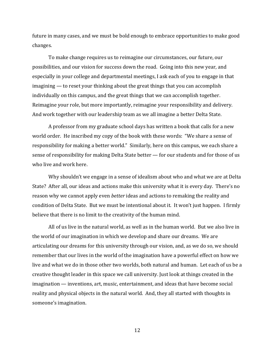future in many cases, and we must be bold enough to embrace opportunities to make good changes. 

To make change requires us to reimagine our circumstances, our future, our possibilities, and our vision for success down the road. Going into this new year, and especially in your college and departmental meetings, I ask each of you to engage in that imagining — to reset your thinking about the great things that you can accomplish individually on this campus, and the great things that we can accomplish together. Reimagine your role, but more importantly, reimagine your responsibility and delivery. And work together with our leadership team as we all imagine a better Delta State.

A professor from my graduate school days has written a book that calls for a new world order. He inscribed my copy of the book with these words: "We share a sense of responsibility for making a better world." Similarly, here on this campus, we each share a sense of responsibility for making Delta State better — for our students and for those of us who live and work here.

Why shouldn't we engage in a sense of idealism about who and what we are at Delta State? After all, our ideas and actions make this university what it is every day. There's no reason why we cannot apply even *better* ideas and actions to remaking the reality and condition of Delta State. But we must be intentional about it. It won't just happen. I firmly believe that there is no limit to the creativity of the human mind.

All of us live in the natural world, as well as in the human world. But we also live in the world of our imagination in which we develop and share our dreams. We are articulating our dreams for this university through our vision, and, as we do so, we should remember that our lives in the world of the imagination have a powerful effect on how we live and what we do in those other two worlds, both natural and human. Let each of us be a creative thought leader in this space we call university. Just look at things created in the  $imagination — inventions, art, music, entertainment, and ideas that have become social$ reality and physical objects in the natural world. And, they all started with thoughts in someone's imagination.